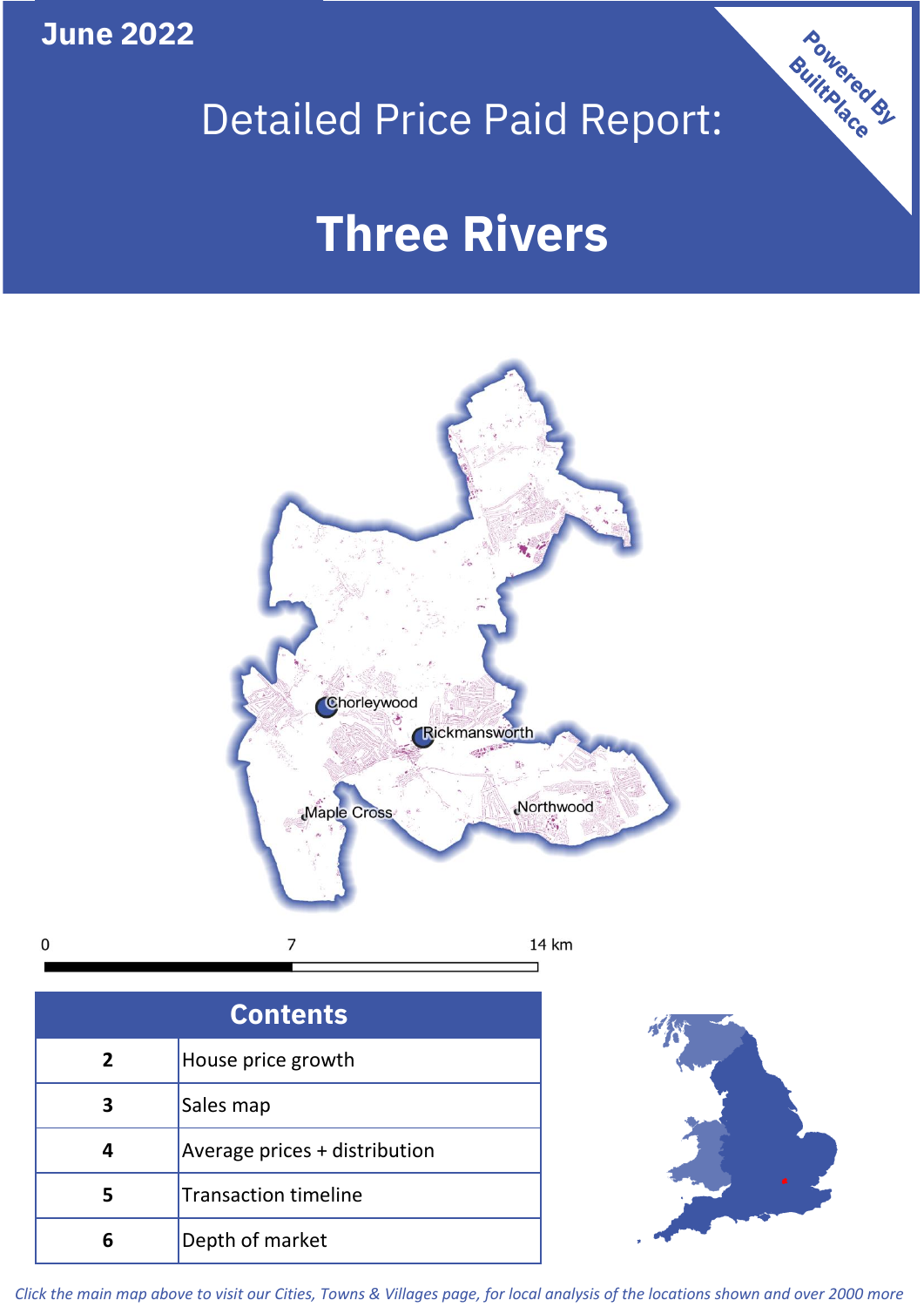**June 2022**

 $\mathbf 0$ 

## Detailed Price Paid Report:

# **Three Rivers**



| <b>Contents</b> |                               |  |  |
|-----------------|-------------------------------|--|--|
| $\overline{2}$  | House price growth            |  |  |
| 3               | Sales map                     |  |  |
| 4               | Average prices + distribution |  |  |
| 5               | <b>Transaction timeline</b>   |  |  |
| 6               | Depth of market               |  |  |



**Powered By** 

*Click the main map above to visit our Cities, Towns & Villages page, for local analysis of the locations shown and over 2000 more*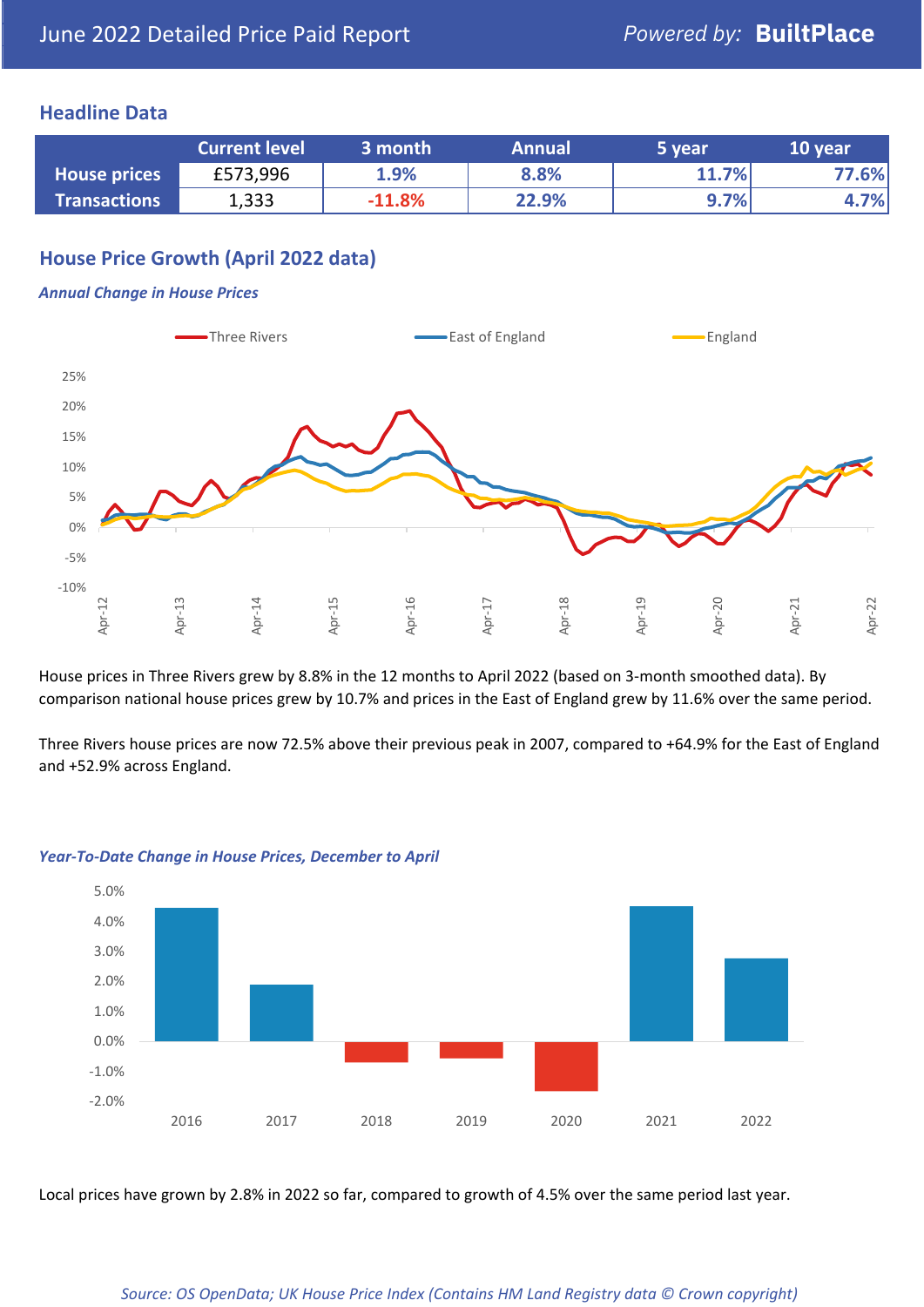#### **Headline Data**

|                     | <b>Current level</b> | 3 month  | <b>Annual</b> | 5 year | 10 year |
|---------------------|----------------------|----------|---------------|--------|---------|
| <b>House prices</b> | £573,996             | 1.9%     | 8.8%          | 11.7%  | 77.6%   |
| <b>Transactions</b> | 1,333                | $-11.8%$ | 22.9%         | 9.7%   | 4.7%    |

## **House Price Growth (April 2022 data)**

#### *Annual Change in House Prices*



House prices in Three Rivers grew by 8.8% in the 12 months to April 2022 (based on 3-month smoothed data). By comparison national house prices grew by 10.7% and prices in the East of England grew by 11.6% over the same period.

Three Rivers house prices are now 72.5% above their previous peak in 2007, compared to +64.9% for the East of England and +52.9% across England.



#### *Year-To-Date Change in House Prices, December to April*

Local prices have grown by 2.8% in 2022 so far, compared to growth of 4.5% over the same period last year.

#### *Source: OS OpenData; UK House Price Index (Contains HM Land Registry data © Crown copyright)*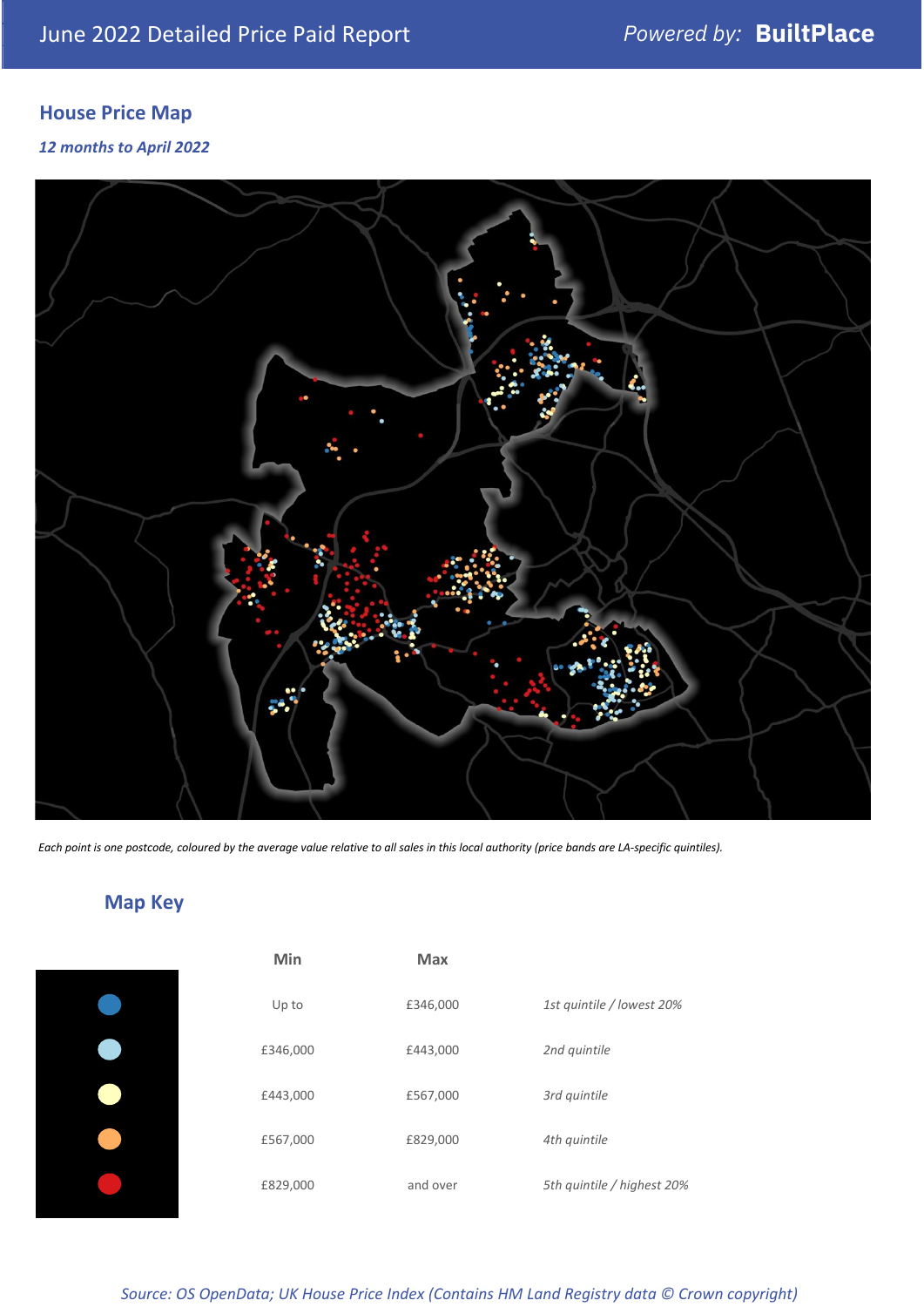## **House Price Map**

*12 months to April 2022*



*Each point is one postcode, coloured by the average value relative to all sales in this local authority (price bands are LA-specific quintiles).*

## **Map Key**

| Min      | <b>Max</b> |                            |
|----------|------------|----------------------------|
| Up to    | £346,000   | 1st quintile / lowest 20%  |
| £346,000 | £443,000   | 2nd quintile               |
| £443,000 | £567,000   | 3rd quintile               |
| £567,000 | £829,000   | 4th quintile               |
| £829,000 | and over   | 5th quintile / highest 20% |
|          |            |                            |

*Source: OS OpenData; UK House Price Index (Contains HM Land Registry data © Crown copyright)*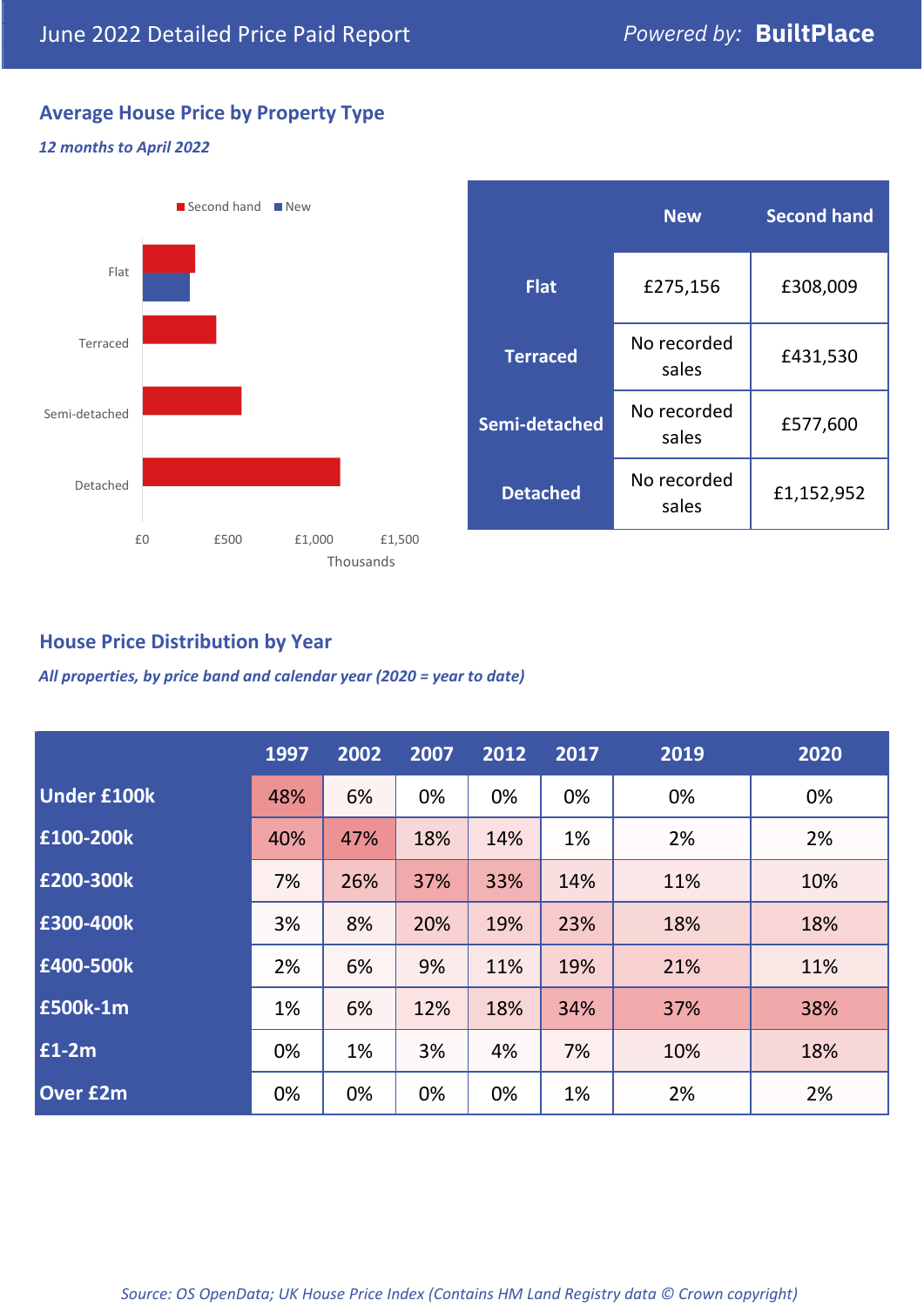## **Average House Price by Property Type**

#### *12 months to April 2022*



|                 | <b>New</b>           | <b>Second hand</b> |  |  |
|-----------------|----------------------|--------------------|--|--|
| <b>Flat</b>     | £275,156             | £308,009           |  |  |
| <b>Terraced</b> | No recorded<br>sales | £431,530           |  |  |
| Semi-detached   | No recorded<br>sales | £577,600           |  |  |
| <b>Detached</b> | No recorded<br>sales | £1,152,952         |  |  |

## **House Price Distribution by Year**

*All properties, by price band and calendar year (2020 = year to date)*

|                    | 1997 | 2002 | 2007 | 2012 | 2017 | 2019 | 2020 |
|--------------------|------|------|------|------|------|------|------|
| <b>Under £100k</b> | 48%  | 6%   | 0%   | 0%   | 0%   | 0%   | 0%   |
| £100-200k          | 40%  | 47%  | 18%  | 14%  | 1%   | 2%   | 2%   |
| £200-300k          | 7%   | 26%  | 37%  | 33%  | 14%  | 11%  | 10%  |
| E300-400k          | 3%   | 8%   | 20%  | 19%  | 23%  | 18%  | 18%  |
| £400-500k          | 2%   | 6%   | 9%   | 11%  | 19%  | 21%  | 11%  |
| <b>£500k-1m</b>    | 1%   | 6%   | 12%  | 18%  | 34%  | 37%  | 38%  |
| £1-2m              | 0%   | 1%   | 3%   | 4%   | 7%   | 10%  | 18%  |
| <b>Over £2m</b>    | 0%   | 0%   | 0%   | 0%   | 1%   | 2%   | 2%   |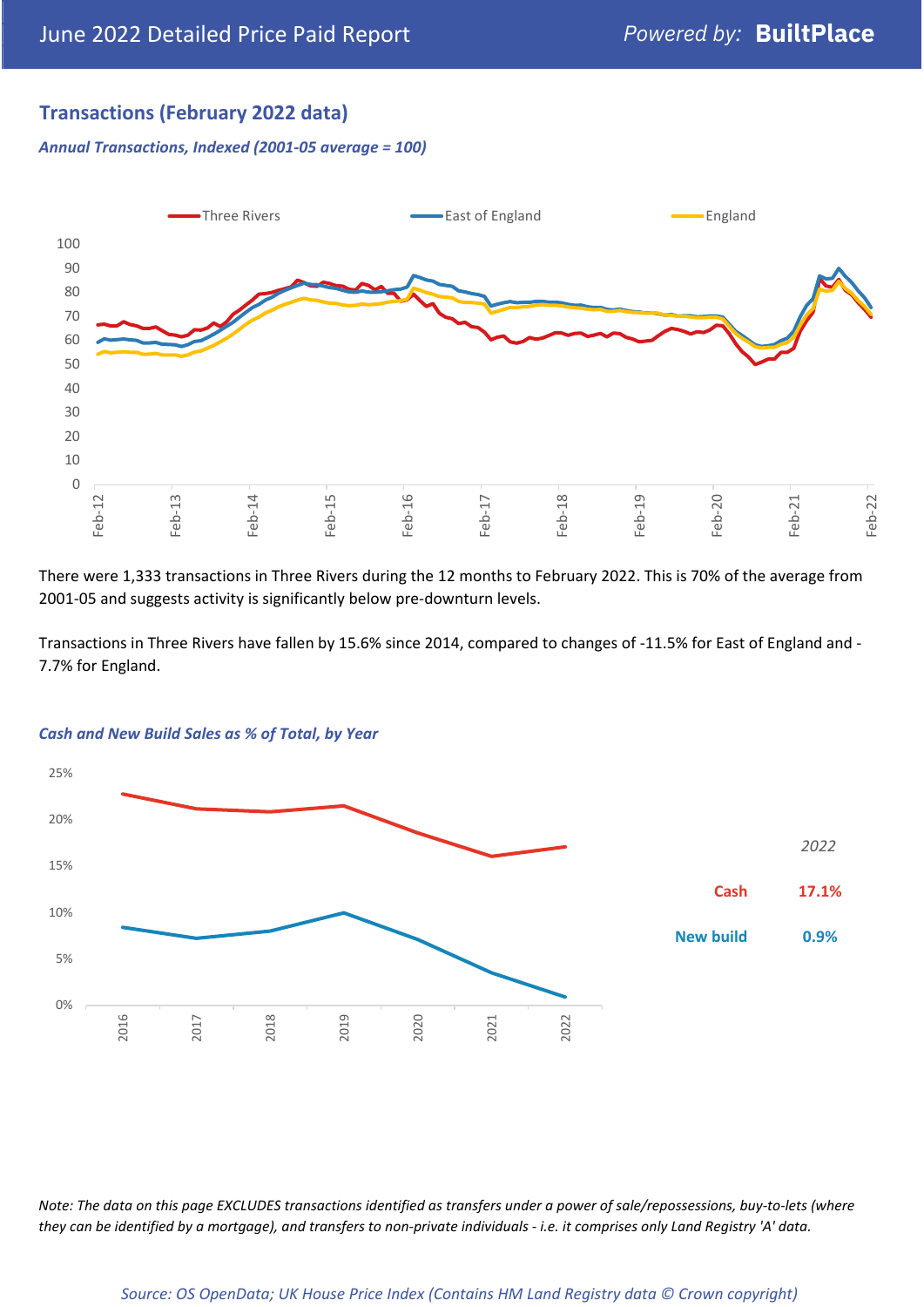## **Transactions (February 2022 data)**

*Annual Transactions, Indexed (2001-05 average = 100)*



There were 1,333 transactions in Three Rivers during the 12 months to February 2022. This is 70% of the average from 2001-05 and suggests activity is significantly below pre-downturn levels.

Transactions in Three Rivers have fallen by 15.6% since 2014, compared to changes of -11.5% for East of England and - 7.7% for England.



#### *Cash and New Build Sales as % of Total, by Year*

*Note: The data on this page EXCLUDES transactions identified as transfers under a power of sale/repossessions, buy-to-lets (where they can be identified by a mortgage), and transfers to non-private individuals - i.e. it comprises only Land Registry 'A' data.*